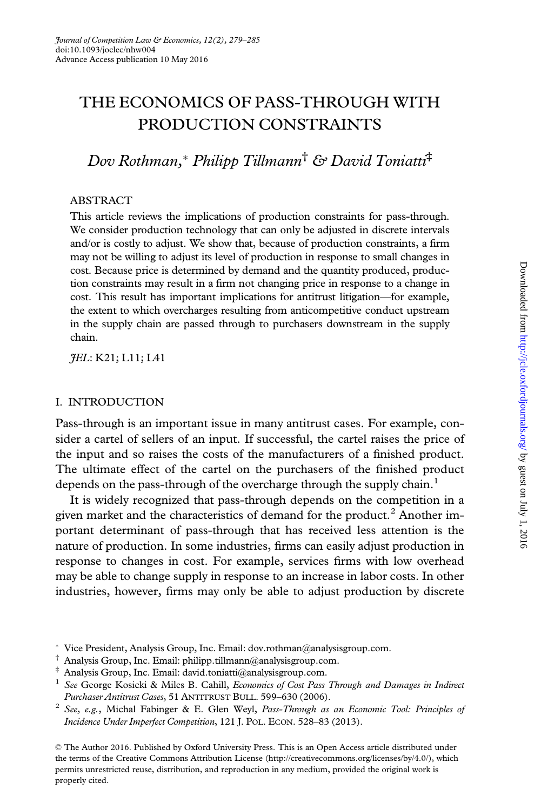# THE ECONOMICS OF PASS-THROUGH WITH PRODUCTION CONSTRAINTS

Dov Rothman,\* Philipp Tillmann<sup>†</sup> & David Toniatti<sup>‡</sup>

# ABSTRACT

This article reviews the implications of production constraints for pass-through. We consider production technology that can only be adjusted in discrete intervals and/or is costly to adjust. We show that, because of production constraints, a firm may not be willing to adjust its level of production in response to small changes in cost. Because price is determined by demand and the quantity produced, production constraints may result in a firm not changing price in response to a change in cost. This result has important implications for antitrust litigation—for example, the extent to which overcharges resulting from anticompetitive conduct upstream in the supply chain are passed through to purchasers downstream in the supply chain.

JEL: K21; L11; L41

## I. INTRODUCTION

Pass-through is an important issue in many antitrust cases. For example, consider a cartel of sellers of an input. If successful, the cartel raises the price of the input and so raises the costs of the manufacturers of a finished product. The ultimate effect of the cartel on the purchasers of the finished product depends on the pass-through of the overcharge through the supply chain.<sup>1</sup>

It is widely recognized that pass-through depends on the competition in a given market and the characteristics of demand for the product.<sup>2</sup> Another important determinant of pass-through that has received less attention is the nature of production. In some industries, firms can easily adjust production in response to changes in cost. For example, services firms with low overhead may be able to change supply in response to an increase in labor costs. In other industries, however, firms may only be able to adjust production by discrete

- † Analysis Group, Inc. Email: philipp.tillmann@analysisgroup.com.
- ‡ Analysis Group, Inc. Email: david.toniatti@analysisgroup.com.

© The Author 2016. Published by Oxford University Press. This is an Open Access article distributed under the terms of the Creative Commons Attribution License (http://creativecommons.org/licenses/by/4.0/), which permits unrestricted reuse, distribution, and reproduction in any medium, provided the original work is properly cited.

Vice President, Analysis Group, Inc. Email: dov.rothman@analysisgroup.com.

<sup>&</sup>lt;sup>1</sup> See George Kosicki & Miles B. Cahill, Economics of Cost Pass Through and Damages in Indirect Purchaser Antitrust Cases, 51 ANTITRUST BULL. 599–630 (2006).

<sup>2</sup> See, e.g., Michal Fabinger & E. Glen Weyl, Pass-Through as an Economic Tool: Principles of Incidence Under Imperfect Competition, 121 J. POL. ECON. 528–83 (2013).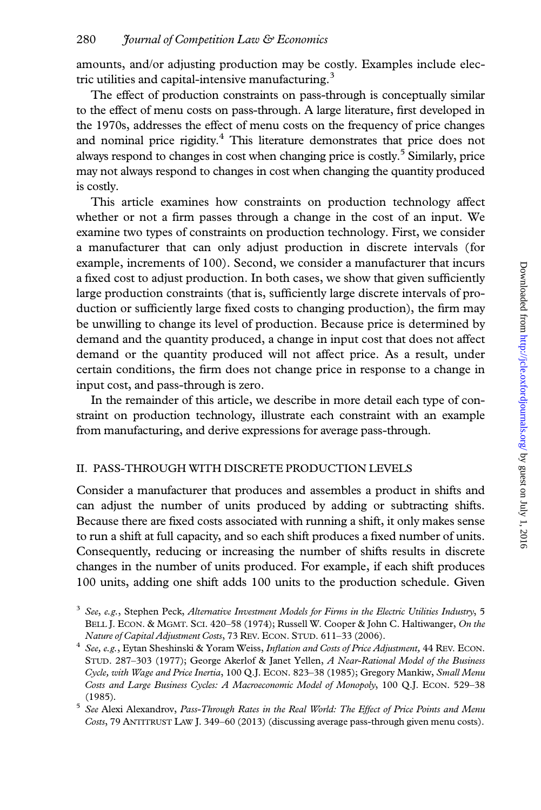amounts, and/or adjusting production may be costly. Examples include electric utilities and capital-intensive manufacturing.<sup>3</sup>

The effect of production constraints on pass-through is conceptually similar to the effect of menu costs on pass-through. A large literature, first developed in the 1970s, addresses the effect of menu costs on the frequency of price changes and nominal price rigidity.<sup>4</sup> This literature demonstrates that price does not always respond to changes in cost when changing price is costly.<sup>5</sup> Similarly, price may not always respond to changes in cost when changing the quantity produced is costly.

This article examines how constraints on production technology affect whether or not a firm passes through a change in the cost of an input. We examine two types of constraints on production technology. First, we consider a manufacturer that can only adjust production in discrete intervals (for example, increments of 100). Second, we consider a manufacturer that incurs a fixed cost to adjust production. In both cases, we show that given sufficiently large production constraints (that is, sufficiently large discrete intervals of production or sufficiently large fixed costs to changing production), the firm may be unwilling to change its level of production. Because price is determined by demand and the quantity produced, a change in input cost that does not affect demand or the quantity produced will not affect price. As a result, under certain conditions, the firm does not change price in response to a change in input cost, and pass-through is zero.

In the remainder of this article, we describe in more detail each type of constraint on production technology, illustrate each constraint with an example from manufacturing, and derive expressions for average pass-through.

# II. PASS-THROUGH WITH DISCRETE PRODUCTION LEVELS

Consider a manufacturer that produces and assembles a product in shifts and can adjust the number of units produced by adding or subtracting shifts. Because there are fixed costs associated with running a shift, it only makes sense to run a shift at full capacity, and so each shift produces a fixed number of units. Consequently, reducing or increasing the number of shifts results in discrete changes in the number of units produced. For example, if each shift produces 100 units, adding one shift adds 100 units to the production schedule. Given

 $3$  See, e.g., Stephen Peck, Alternative Investment Models for Firms in the Electric Utilities Industry, 5 BELL J. ECON. & MGMT. SCI. 420–58 (1974); Russell W. Cooper & John C. Haltiwanger, On the Nature of Capital Adjustment Costs, 73 REV. ECON. STUD. 611–33 (2006).

 $^4\,$  See, e.g., Eytan Sheshinski & Yoram Weiss, Inflation and Costs of Price Adjustment, 44 REV. ECON. STUD. 287–303 (1977); George Akerlof & Janet Yellen, A Near-Rational Model of the Business Cycle, with Wage and Price Inertia, 100 Q.J. ECON. 823–38 (1985); Gregory Mankiw, Small Menu Costs and Large Business Cycles: A Macroeconomic Model of Monopoly, 100 Q.J. ECON. 529–38 (1985).

<sup>&</sup>lt;sup>5</sup> See Alexi Alexandrov, Pass-Through Rates in the Real World: The Effect of Price Points and Menu Costs, 79 ANTITRUST LAW J. 349–60 (2013) (discussing average pass-through given menu costs).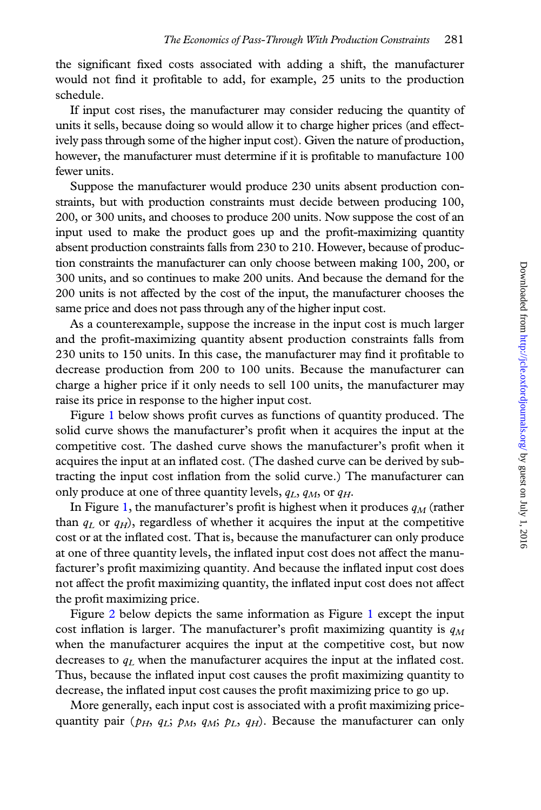the significant fixed costs associated with adding a shift, the manufacturer would not find it profitable to add, for example, 25 units to the production schedule.

If input cost rises, the manufacturer may consider reducing the quantity of units it sells, because doing so would allow it to charge higher prices (and effectively pass through some of the higher input cost). Given the nature of production, however, the manufacturer must determine if it is profitable to manufacture 100 fewer units.

Suppose the manufacturer would produce 230 units absent production constraints, but with production constraints must decide between producing 100, 200, or 300 units, and chooses to produce 200 units. Now suppose the cost of an input used to make the product goes up and the profit-maximizing quantity absent production constraints falls from 230 to 210. However, because of production constraints the manufacturer can only choose between making 100, 200, or 300 units, and so continues to make 200 units. And because the demand for the 200 units is not affected by the cost of the input, the manufacturer chooses the same price and does not pass through any of the higher input cost.

As a counterexample, suppose the increase in the input cost is much larger and the profit-maximizing quantity absent production constraints falls from 230 units to 150 units. In this case, the manufacturer may find it profitable to decrease production from 200 to 100 units. Because the manufacturer can charge a higher price if it only needs to sell 100 units, the manufacturer may raise its price in response to the higher input cost.

Figure [1](#page-3-0) below shows profit curves as functions of quantity produced. The solid curve shows the manufacturer's profit when it acquires the input at the competitive cost. The dashed curve shows the manufacturer's profit when it acquires the input at an inflated cost. (The dashed curve can be derived by subtracting the input cost inflation from the solid curve.) The manufacturer can only produce at one of three quantity levels,  $q_L$ ,  $q_M$ , or  $q_H$ .

In Figure [1](#page-3-0), the manufacturer's profit is highest when it produces  $q_M$  (rather than  $q_L$  or  $q_H$ ), regardless of whether it acquires the input at the competitive cost or at the inflated cost. That is, because the manufacturer can only produce at one of three quantity levels, the inflated input cost does not affect the manufacturer's profit maximizing quantity. And because the inflated input cost does not affect the profit maximizing quantity, the inflated input cost does not affect the profit maximizing price.

Figure [2](#page-3-0) below depicts the same information as Figure [1](#page-3-0) except the input cost inflation is larger. The manufacturer's profit maximizing quantity is  $q_M$ when the manufacturer acquires the input at the competitive cost, but now decreases to  $q_L$  when the manufacturer acquires the input at the inflated cost. Thus, because the inflated input cost causes the profit maximizing quantity to decrease, the inflated input cost causes the profit maximizing price to go up.

More generally, each input cost is associated with a profit maximizing pricequantity pair ( $p_H$ ,  $q_L$ ;  $p_M$ ,  $q_M$ ;  $p_L$ ,  $q_H$ ). Because the manufacturer can only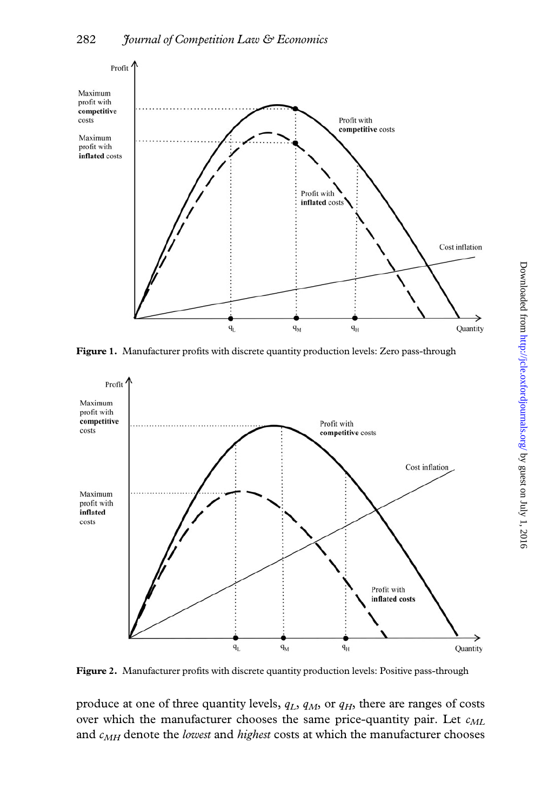<span id="page-3-0"></span>

Figure 1. Manufacturer profits with discrete quantity production levels: Zero pass-through



Figure 2. Manufacturer profits with discrete quantity production levels: Positive pass-through

produce at one of three quantity levels,  $q_L$ ,  $q_M$ , or  $q_H$ , there are ranges of costs over which the manufacturer chooses the same price-quantity pair. Let  $c_{ML}$ and  $c_{MH}$  denote the *lowest* and *highest* costs at which the manufacturer chooses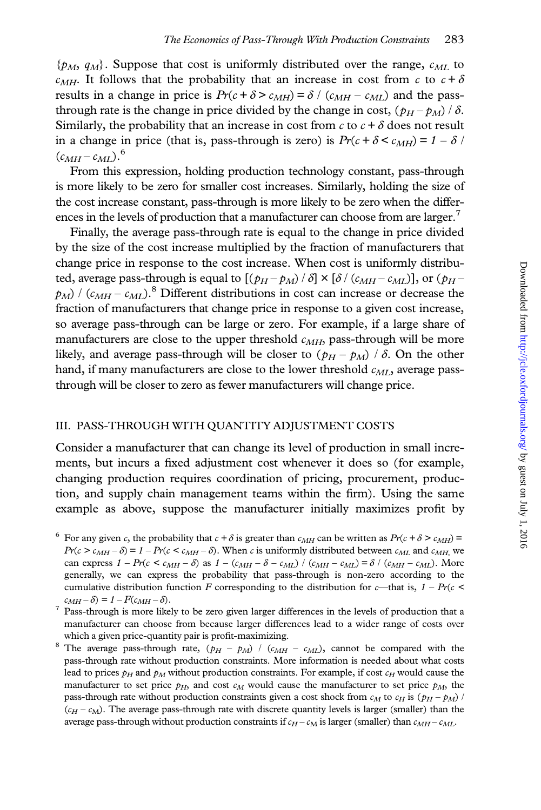$\{p_M, q_M\}$ . Suppose that cost is uniformly distributed over the range,  $c_{ML}$  to  $c_{MH}$ . It follows that the probability that an increase in cost from c to  $c + \delta$ results in a change in price is  $Pr(c + \delta > c_{MH}) = \delta / (c_{MH} - c_{ML})$  and the passthrough rate is the change in price divided by the change in cost,  $\left(p_H - p_M\right)/\delta$ . Similarly, the probability that an increase in cost from  $c$  to  $c + \delta$  does not result in a change in price (that is, pass-through is zero) is  $Pr(c + \delta < c_{MH}) = 1 - \delta$  $(c_{MH} - c_{MI})$ .<sup>6</sup>

From this expression, holding production technology constant, pass-through is more likely to be zero for smaller cost increases. Similarly, holding the size of the cost increase constant, pass-through is more likely to be zero when the differences in the levels of production that a manufacturer can choose from are larger.<sup>7</sup>

Finally, the average pass-through rate is equal to the change in price divided by the size of the cost increase multiplied by the fraction of manufacturers that change price in response to the cost increase. When cost is uniformly distributed, average pass-through is equal to  $[(p_H - p_M) / \delta] \times [\delta / (c_{MH} - c_{ML})]$ , or  $(p_H - p_M)$  $p_M$ ) /  $(c_{MH} - c_{MI})$ .<sup>8</sup> Different distributions in cost can increase or decrease the fraction of manufacturers that change price in response to a given cost increase, so average pass-through can be large or zero. For example, if a large share of manufacturers are close to the upper threshold  $c_{MH}$ , pass-through will be more likely, and average pass-through will be closer to  $(p_H - p_M) / \delta$ . On the other hand, if many manufacturers are close to the lower threshold  $c_{ML}$ , average passthrough will be closer to zero as fewer manufacturers will change price.

# III. PASS-THROUGH WITH QUANTITY ADJUSTMENT COSTS

Consider a manufacturer that can change its level of production in small increments, but incurs a fixed adjustment cost whenever it does so (for example, changing production requires coordination of pricing, procurement, production, and supply chain management teams within the firm). Using the same example as above, suppose the manufacturer initially maximizes profit by

<sup>6</sup> For any given c, the probability that  $c + \delta$  is greater than  $c_{MH}$  can be written as  $Pr(c + \delta > c_{MH})$  $Pr(c > c_{MH} - \delta) = 1 - Pr(c < c_{MH} - \delta)$ . When c is uniformly distributed between  $c_{ML}$  and  $c_{MH}$ , we can express  $1 - Pr(c < c_{MH} - \delta)$  as  $1 - (c_{MH} - \delta - c_{MI}) / (c_{MH} - c_{MI}) = \delta / (c_{MH} - c_{MI})$ . More generally, we can express the probability that pass-through is non-zero according to the cumulative distribution function F corresponding to the distribution for c—that is,  $1 - Pr(c \leq$  $c_{MH} - \delta$  = 1 –  $F(c_{MH} - \delta)$ .<br>Pass-through is more likely to be zero given larger differences in the levels of production that a

manufacturer can choose from because larger differences lead to a wider range of costs over which a given price-quantity pair is profit-maximizing.

<sup>8</sup> The average pass-through rate,  $(p_H - p_M) / (c_{MH} - c_{ML})$ , cannot be compared with the pass-through rate without production constraints. More information is needed about what costs lead to prices  $p_H$  and  $p_M$  without production constraints. For example, if cost  $c_H$  would cause the manufacturer to set price  $p_H$ , and cost  $c_M$  would cause the manufacturer to set price  $p_M$ , the pass-through rate without production constraints given a cost shock from  $c_M$  to  $c_H$  is  $(p_H - p_M)$  /  $(c_H - c_M)$ . The average pass-through rate with discrete quantity levels is larger (smaller) than the average pass-through without production constraints if  $c_H - c_M$  is larger (smaller) than  $c_{MH} - c_{ML}$ .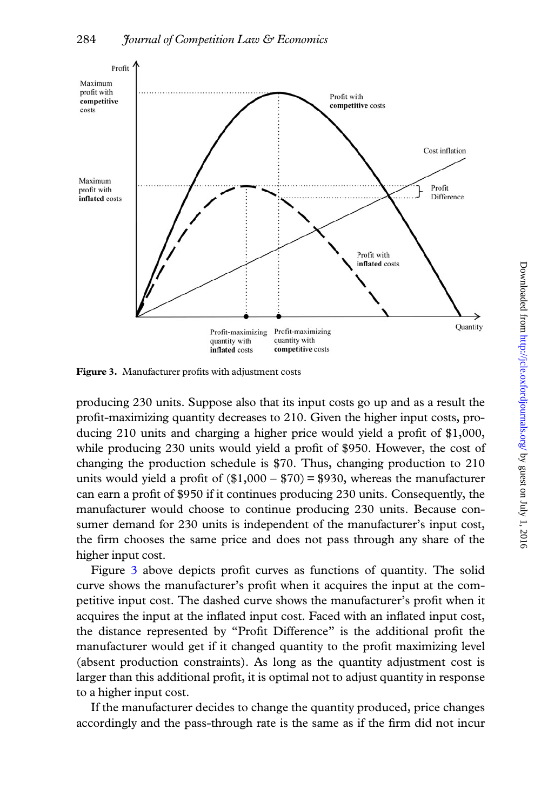

Figure 3. Manufacturer profits with adjustment costs

producing 230 units. Suppose also that its input costs go up and as a result the profit-maximizing quantity decreases to 210. Given the higher input costs, producing 210 units and charging a higher price would yield a profit of \$1,000, while producing 230 units would yield a profit of \$950. However, the cost of changing the production schedule is \$70. Thus, changing production to 210 units would yield a profit of  $(\$1,000 - \$70) = \$930$ , whereas the manufacturer can earn a profit of \$950 if it continues producing 230 units. Consequently, the manufacturer would choose to continue producing 230 units. Because consumer demand for 230 units is independent of the manufacturer's input cost, the firm chooses the same price and does not pass through any share of the higher input cost.

Figure 3 above depicts profit curves as functions of quantity. The solid curve shows the manufacturer's profit when it acquires the input at the competitive input cost. The dashed curve shows the manufacturer's profit when it acquires the input at the inflated input cost. Faced with an inflated input cost, the distance represented by "Profit Difference" is the additional profit the manufacturer would get if it changed quantity to the profit maximizing level (absent production constraints). As long as the quantity adjustment cost is larger than this additional profit, it is optimal not to adjust quantity in response to a higher input cost.

If the manufacturer decides to change the quantity produced, price changes accordingly and the pass-through rate is the same as if the firm did not incur